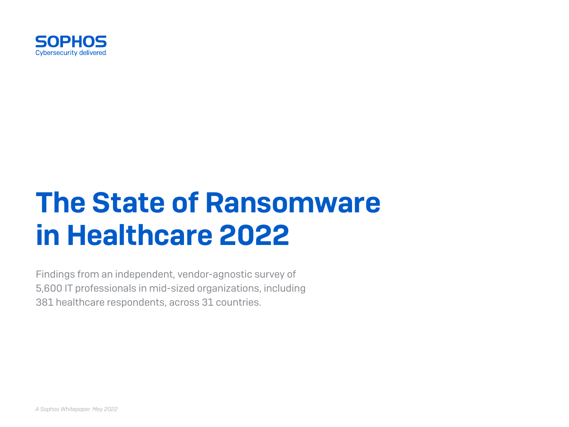

# The State of Ransomware in Healthcare 2022

Findings from an independent, vendor-agnostic survey of 5,600 IT professionals in mid-sized organizations, including 381 healthcare respondents, across 31 countries.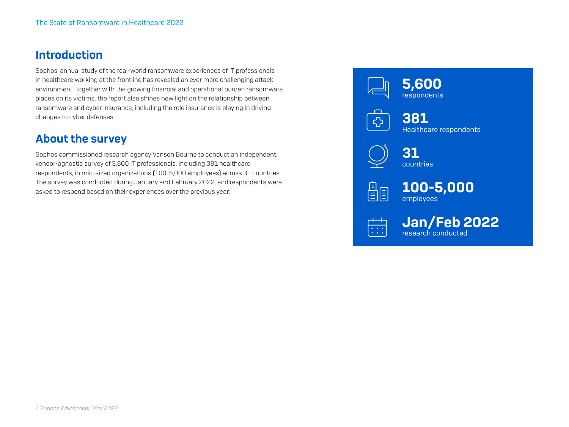#### Introduction

Sophos' annual study of the real-world ransomware experiences of IT professionals in healthcare working at the frontline has revealed an ever more challenging attack environment. Together with the growing financial and operational burden ransomware places on its victims, the report also shines new light on the relationship between ransomware and cyber insurance, including the role insurance is playing in driving changes to cyber defenses.

## About the survey

Sophos commissioned research agency Vanson Bourne to conduct an independent, vendor-agnostic survey of 5,600 IT professionals, including 381 healthcare respondents, in mid-sized organizations (100-5,000 employees) across 31 countries. The survey was conducted during January and February 2022, and respondents were asked to respond based on their experiences over the previous year.





381 Healthcare respondents



31 countries



100-5,000 employees

 $\leftarrow$  Jan/Feb 2022 research conducted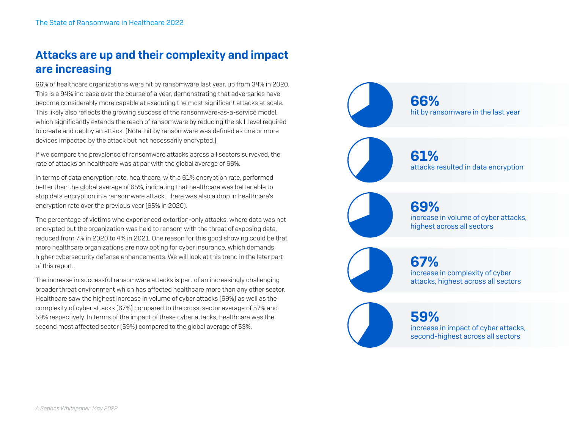## Attacks are up and their complexity and impact are increasing

66% of healthcare organizations were hit by ransomware last year, up from 34% in 2020. This is a 94% increase over the course of a year, demonstrating that adversaries have become considerably more capable at executing the most significant attacks at scale. This likely also reflects the growing success of the ransomware-as-a-service model, which significantly extends the reach of ransomware by reducing the skill level required to create and deploy an attack. [Note: hit by ransomware was defined as one or more devices impacted by the attack but not necessarily encrypted.]

If we compare the prevalence of ransomware attacks across all sectors surveyed, the rate of attacks on healthcare was at par with the global average of 66%.

In terms of data encryption rate, healthcare, with a 61% encryption rate, performed better than the global average of 65%, indicating that healthcare was better able to stop data encryption in a ransomware attack. There was also a drop in healthcare's encryption rate over the previous year (65% in 2020).

The percentage of victims who experienced extortion-only attacks, where data was not encrypted but the organization was held to ransom with the threat of exposing data, reduced from 7% in 2020 to 4% in 2021. One reason for this good showing could be that more healthcare organizations are now opting for cyber insurance, which demands higher cybersecurity defense enhancements. We will look at this trend in the later part of this report.

The increase in successful ransomware attacks is part of an increasingly challenging broader threat environment which has affected healthcare more than any other sector. Healthcare saw the highest increase in volume of cyber attacks (69%) as well as the complexity of cyber attacks (67%) compared to the cross-sector average of 57% and 59% respectively. In terms of the impact of these cyber attacks, healthcare was the second most affected sector (59%) compared to the global average of 53%.

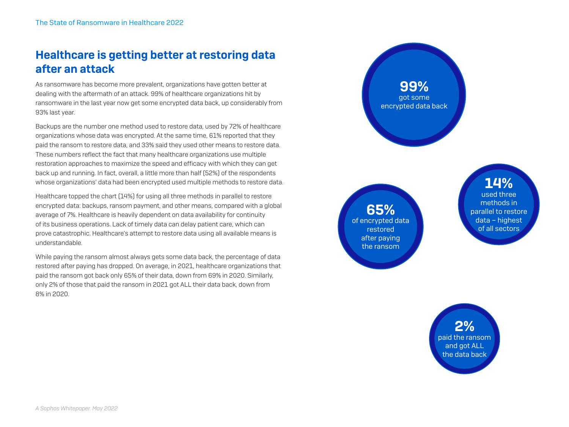## Healthcare is getting better at restoring data after an attack

As ransomware has become more prevalent, organizations have gotten better at dealing with the aftermath of an attack. 99% of healthcare organizations hit by ransomware in the last year now get some encrypted data back, up considerably from 93% last year.

Backups are the number one method used to restore data, used by 72% of healthcare organizations whose data was encrypted. At the same time, 61% reported that they paid the ransom to restore data, and 33% said they used other means to restore data. These numbers reflect the fact that many healthcare organizations use multiple restoration approaches to maximize the speed and efficacy with which they can get back up and running. In fact, overall, a little more than half (52%) of the respondents whose organizations' data had been encrypted used multiple methods to restore data.

Healthcare topped the chart (14%) for using all three methods in parallel to restore encrypted data: backups, ransom payment, and other means, compared with a global average of 7%. Healthcare is heavily dependent on data availability for continuity of its business operations. Lack of timely data can delay patient care, which can prove catastrophic. Healthcare's attempt to restore data using all available means is understandable.

While paying the ransom almost always gets some data back, the percentage of data restored after paying has dropped. On average, in 2021, healthcare organizations that paid the ransom got back only 65% of their data, down from 69% in 2020. Similarly, only 2% of those that paid the ransom in 2021 got ALL their data back, down from 8% in 2020.

99% got some encrypted data back

65% of encrypted data restored after paying the ransom

14% used three methods in parallel to restore

data – highest of all sectors

2% paid the ransom and got ALL the data back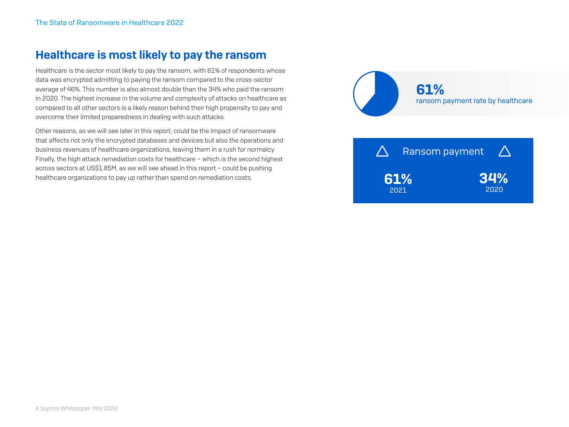#### Healthcare is most likely to pay the ransom

Healthcare is the sector most likely to pay the ransom, with 61% of respondents whose data was encrypted admitting to paying the ransom compared to the cross-sector average of 46%. This number is also almost double than the 34% who paid the ransom in 2020. The highest increase in the volume and complexity of attacks on healthcare as compared to all other sectors is a likely reason behind their high propensity to pay and overcome their limited preparedness in dealing with such attacks.

Other reasons, as we will see later in this report, could be the impact of ransomware that affects not only the encrypted databases and devices but also the operations and business revenues of healthcare organizations, leaving them in a rush for normalcy. Finally, the high attack remediation costs for healthcare – which is the second highest across sectors at US\$1.85M, as we will see ahead in this report – could be pushing healthcare organizations to pay up rather than spend on remediation costs.



61% 2021 34% 2020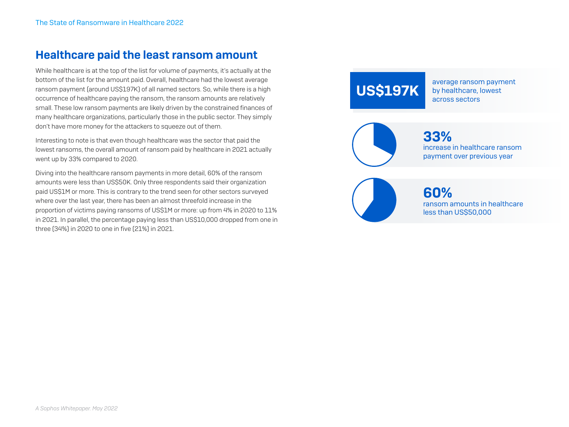#### Healthcare paid the least ransom amount

While healthcare is at the top of the list for volume of payments, it's actually at the bottom of the list for the amount paid. Overall, healthcare had the lowest average ransom payment (around US\$197K) of all named sectors. So, while there is a high occurrence of healthcare paying the ransom, the ransom amounts are relatively small. These low ransom payments are likely driven by the constrained finances of many healthcare organizations, particularly those in the public sector. They simply don't have more money for the attackers to squeeze out of them.

Interesting to note is that even though healthcare was the sector that paid the lowest ransoms, the overall amount of ransom paid by healthcare in 2021 actually went up by 33% compared to 2020.

Diving into the healthcare ransom payments in more detail, 60% of the ransom amounts were less than US\$50K. Only three respondents said their organization paid US\$1M or more. This is contrary to the trend seen for other sectors surveyed where over the last year, there has been an almost threefold increase in the proportion of victims paying ransoms of US\$1M or more: up from 4% in 2020 to 11% in 2021. In parallel, the percentage paying less than US\$10,000 dropped from one in three (34%) in 2020 to one in five (21%) in 2021.

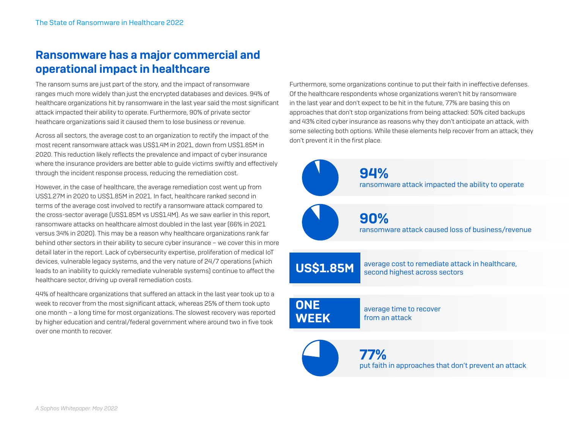## Ransomware has a major commercial and operational impact in healthcare

The ransom sums are just part of the story, and the impact of ransomware ranges much more widely than just the encrypted databases and devices. 94% of healthcare organizations hit by ransomware in the last year said the most significant attack impacted their ability to operate. Furthermore, 90% of private sector heathcare organizations said it caused them to lose business or revenue.

Across all sectors, the average cost to an organization to rectify the impact of the most recent ransomware attack was US\$1.4M in 2021, down from US\$1.85M in 2020. This reduction likely reflects the prevalence and impact of cyber insurance where the insurance providers are better able to guide victims swiftly and effectively through the incident response process, reducing the remediation cost.

However, in the case of healthcare, the average remediation cost went up from US\$1.27M in 2020 to US\$1.85M in 2021. In fact, healthcare ranked second in terms of the average cost involved to rectify a ransomware attack compared to the cross-sector average (US\$1.85M vs US\$1.4M). As we saw earlier in this report, ransomware attacks on healthcare almost doubled in the last year (66% in 2021 versus 34% in 2020). This may be a reason why healthcare organizations rank far behind other sectors in their ability to secure cyber insurance – we cover this in more detail later in the report. Lack of cybersecurity expertise, proliferation of medical IoT devices, vulnerable legacy systems, and the very nature of 24/7 operations (which leads to an inability to quickly remediate vulnerable systems) continue to affect the healthcare sector, driving up overall remediation costs.

44% of healthcare organizations that suffered an attack in the last year took up to a week to recover from the most significant attack, whereas 25% of them took upto one month – a long time for most organizations. The slowest recovery was reported by higher education and central/federal government where around two in five took over one month to recover.

Furthermore, some organizations continue to put their faith in ineffective defenses. Of the healthcare respondents whose organizations weren't hit by ransomware in the last year and don't expect to be hit in the future, 77% are basing this on approaches that don't stop organizations from being attacked: 50% cited backups and 43% cited cyber insurance as reasons why they don't anticipate an attack, with some selecting both options. While these elements help recover from an attack, they don't prevent it in the first place.

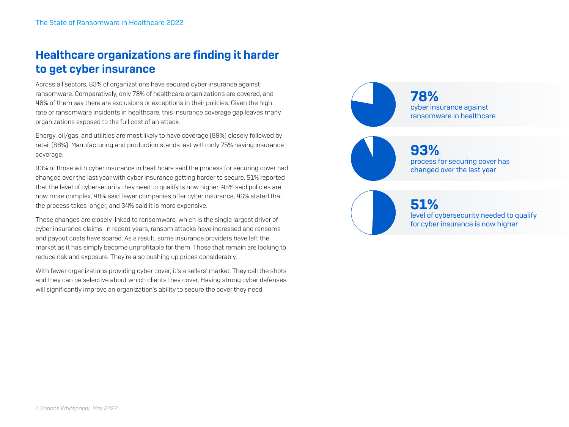## Healthcare organizations are finding it harder to get cyber insurance

Across all sectors, 83% of organizations have secured cyber insurance against ransomware. Comparatively, only 78% of healthcare organizations are covered, and 46% of them say there are exclusions or exceptions in their policies. Given the high rate of ransomware incidents in healthcare, this insurance coverage gap leaves many organizations exposed to the full cost of an attack.

Energy, oil/gas, and utilities are most likely to have coverage (89%) closely followed by retail (88%). Manufacturing and production stands last with only 75% having insurance coverage.

93% of those with cyber insurance in healthcare said the process for securing cover had changed over the last year with cyber insurance getting harder to secure. 51% reported that the level of cybersecurity they need to qualify is now higher, 45% said policies are now more complex, 48% said fewer companies offer cyber insurance, 46% stated that the process takes longer, and 34% said it is more expensive.

These changes are closely linked to ransomware, which is the single largest driver of cyber insurance claims. In recent years, ransom attacks have increased and ransoms and payout costs have soared. As a result, some insurance providers have left the market as it has simply become unprofitable for them. Those that remain are looking to reduce risk and exposure. They're also pushing up prices considerably.

With fewer organizations providing cyber cover, it's a sellers' market. They call the shots and they can be selective about which clients they cover. Having strong cyber defenses will significantly improve an organization's ability to secure the cover they need.

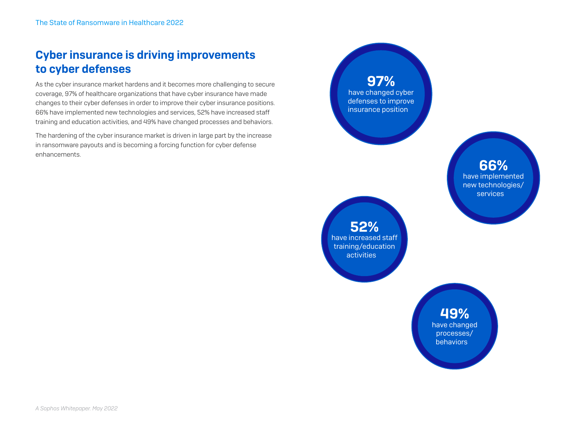# Cyber insurance is driving improvements to cyber defenses

As the cyber insurance market hardens and it becomes more challenging to secure coverage, 97% of healthcare organizations that have cyber insurance have made changes to their cyber defenses in order to improve their cyber insurance positions. 66% have implemented new technologies and services, 52% have increased staff training and education activities, and 49% have changed processes and behaviors.

The hardening of the cyber insurance market is driven in large part by the increase in ransomware payouts and is becoming a forcing function for cyber defense enhancements.

97% have changed cyber defenses to improve insurance position

> 66% have implemented new technologies/ **services**

52% have increased staff training/education activities

> 49% have changed processes/ behaviors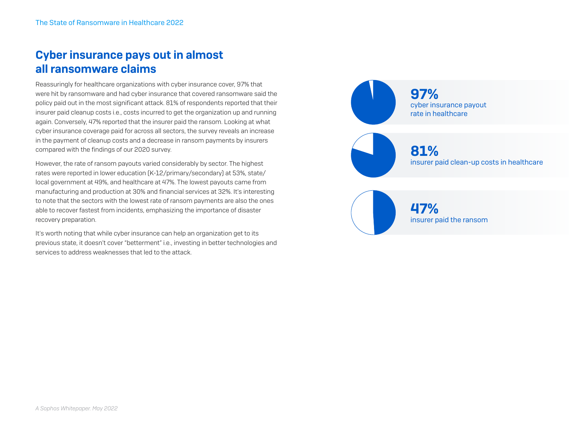# Cyber insurance pays out in almost all ransomware claims

Reassuringly for healthcare organizations with cyber insurance cover, 97% that were hit by ransomware and had cyber insurance that covered ransomware said the policy paid out in the most significant attack. 81% of respondents reported that their insurer paid cleanup costs i.e., costs incurred to get the organization up and running again. Conversely, 47% reported that the insurer paid the ransom. Looking at what cyber insurance coverage paid for across all sectors, the survey reveals an increase in the payment of cleanup costs and a decrease in ransom payments by insurers compared with the findings of our 2020 survey.

However, the rate of ransom payouts varied considerably by sector. The highest rates were reported in lower education (K-12/primary/secondary) at 53%, state/ local government at 49%, and healthcare at 47%. The lowest payouts came from manufacturing and production at 30% and financial services at 32%. It's interesting to note that the sectors with the lowest rate of ransom payments are also the ones able to recover fastest from incidents, emphasizing the importance of disaster recovery preparation.

It's worth noting that while cyber insurance can help an organization get to its previous state, it doesn't cover "betterment" i.e., investing in better technologies and services to address weaknesses that led to the attack.

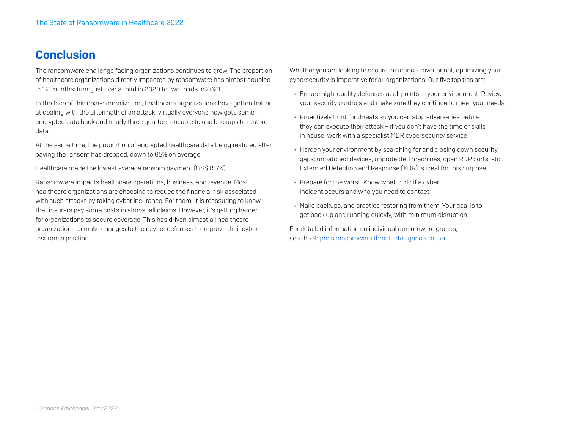## **Conclusion**

The ransomware challenge facing organizations continues to grow. The proportion of healthcare organizations directly impacted by ransomware has almost doubled in 12 months: from just over a third in 2020 to two thirds in 2021.

In the face of this near-normalization, healthcare organizations have gotten better at dealing with the aftermath of an attack: virtually everyone now gets some encrypted data back and nearly three quarters are able to use backups to restore data.

At the same time, the proportion of encrypted healthcare data being restored after paying the ransom has dropped, down to 65% on average.

Healthcare made the lowest average ransom payment (US\$197K).

Ransomware impacts healthcare operations, business, and revenue. Most healthcare organizations are choosing to reduce the financial risk associated with such attacks by taking cyber insurance. For them, it is reassuring to know that insurers pay some costs in almost all claims. However, it's getting harder for organizations to secure coverage. This has driven almost all healthcare organizations to make changes to their cyber defenses to improve their cyber insurance position.

Whether you are looking to secure insurance cover or not, optimizing your cybersecurity is imperative for all organizations. Our five top tips are:

- $\rightarrow$  Ensure high-quality defenses at all points in your environment. Review your security controls and make sure they continue to meet your needs.
- $\rightarrow$  Proactively hunt for threats so you can stop adversaries before they can execute their attack – if you don't have the time or skills in house, work with a specialist MDR cybersecurity service
- $\rightarrow$  Harden your environment by searching for and closing down security gaps: unpatched devices, unprotected machines, open RDP ports, etc.. Extended Detection and Response (XDR) is ideal for this purpose.
- $\rightarrow$  Prepare for the worst. Know what to do if a cyber incident occurs and who you need to contact.
- $\rightarrow$  Make backups, and practice restoring from them. Your goal is to get back up and running quickly, with minimum disruption.

For detailed information on individual ransomware groups, see the [Sophos ransomware threat intelligence center.](https://news.sophos.com/en-us/2022/03/17/the-ransomware-threat-intelligence-center/)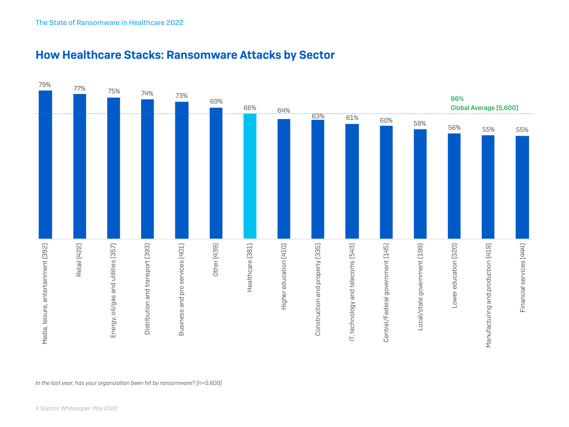

#### How Healthcare Stacks: Ransomware Attacks by Sector

*In the last year, has your organization been hit by ransomware? [n=5,600]*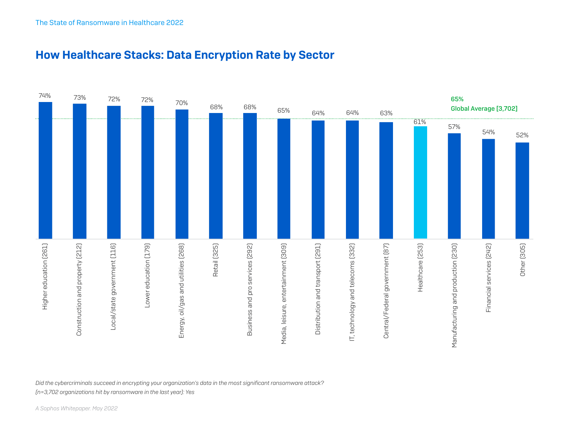

#### How Healthcare Stacks: Data Encryption Rate by Sector

*Did the cybercriminals succeed in encrypting your organization's data in the most significant ransomware attack?* 

*(n=3,702 organizations hit by ransomware in the last year): Yes*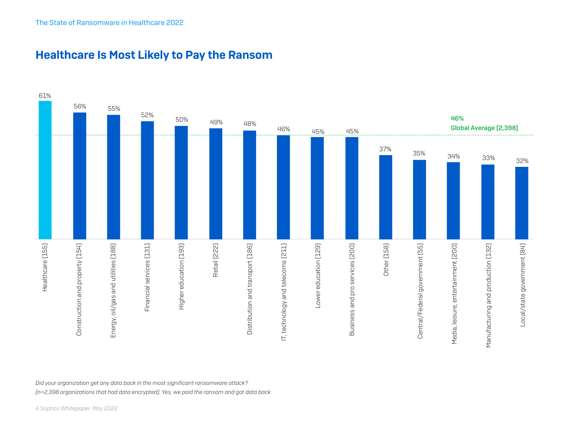

#### Healthcare Is Most Likely to Pay the Ransom

*Did your organization get any data back in the most significant ransomware attack?* 

*(n=2,398 organizations that had data encrypted): Yes, we paid the ransom and got data back*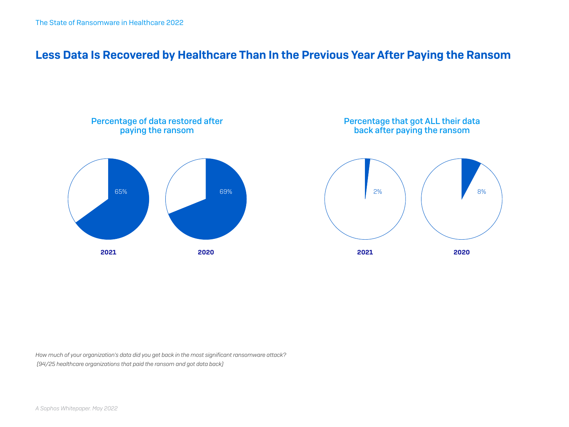## Less Data Is Recovered by Healthcare Than In the Previous Year After Paying the Ransom



*How much of your organization's data did you get back in the most significant ransomware attack? (94/25 healthcare organizations that paid the ransom and got data back)*

*A Sophos Whitepaper. May 2022*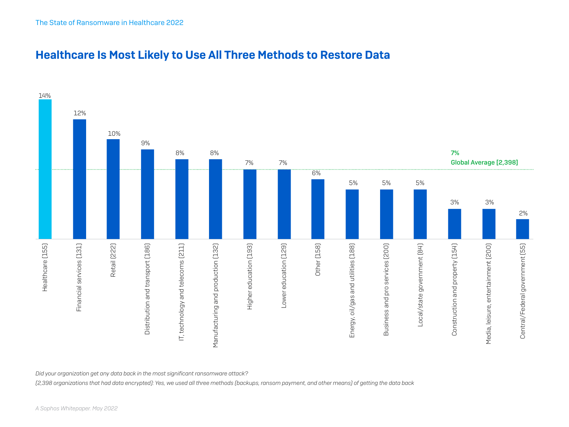

#### Healthcare Is Most Likely to Use All Three Methods to Restore Data

*Did your organization get any data back in the most significant ransomware attack?* 

*(2,398 organizations that had data encrypted): Yes, we used all three methods (backups, ransom payment, and other means) of getting the data back*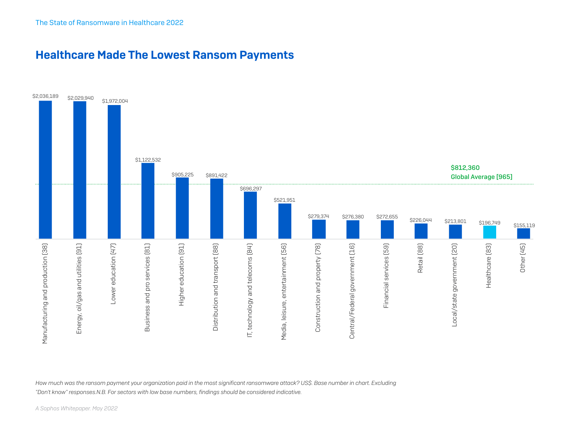#### Healthcare Made The Lowest Ransom Payments



*How much was the ransom payment your organization paid in the most significant ransomware attack? US\$. Base number in chart. Excluding "Don't know" responses.N.B. For sectors with low base numbers, findings should be considered indicative.*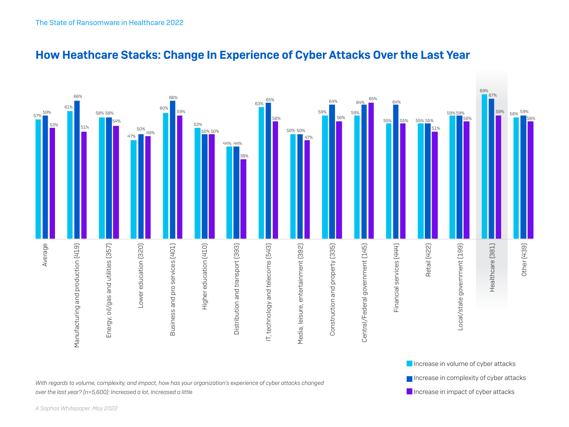

#### How Heathcare Stacks: Change In Experience of Cyber Attacks Over the Last Year

*With regards to volume, complexity, and impact, how has your organization's experience of cyber attacks changed over the last year? (n=5,600): Increased a lot, Increased a little*

Increase in complexity of cyber attacks  $\blacksquare$  Increase in impact of cyber attacks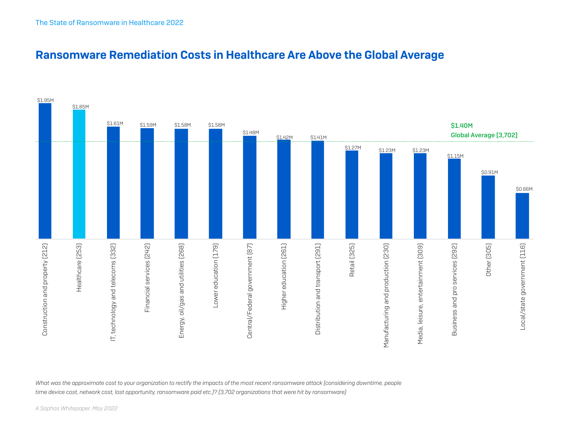

## Ransomware Remediation Costs in Healthcare Are Above the Global Average

What was the approximate cost to your organization to rectify the impacts of the most recent ransomware attack (considering downtime, people *time device cost, network cost, lost opportunity, ransomware paid etc.)? (3,702 organizations that were hit by ransomware)*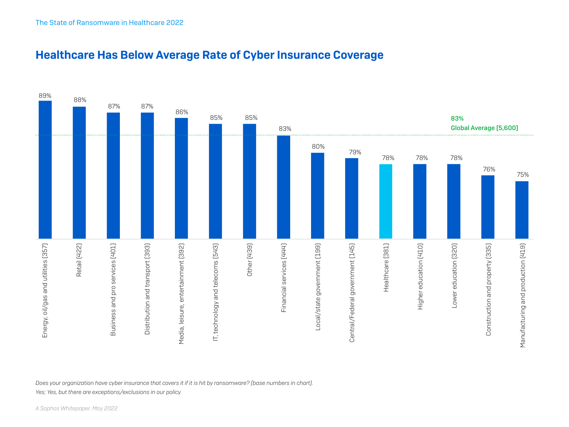

#### Healthcare Has Below Average Rate of Cyber Insurance Coverage

*Does your organization have cyber insurance that covers it if it is hit by ransomware? (base numbers in chart).* 

*Yes; Yes, but there are exceptions/exclusions in our policy*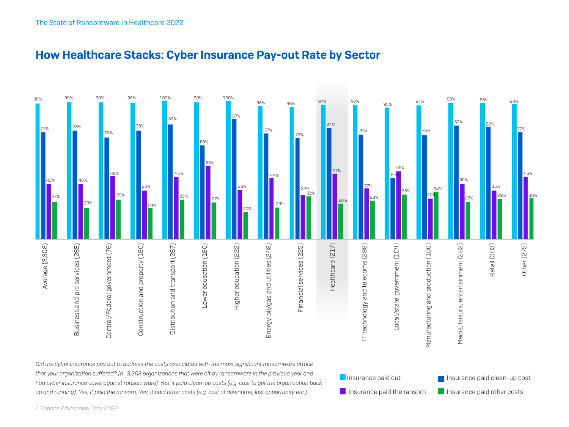

Insurance paid the ransom Insurance paid other costs

#### How Healthcare Stacks: Cyber Insurance Pay-out Rate by Sector

*had cyber insurance cover against ransomware). Yes, it paid clean-up costs (e.g. cost to get the organization back up and running); Yes, it paid the ransom; Yes, it paid other costs (e.g. cost of downtime, lost opportunity etc.)*